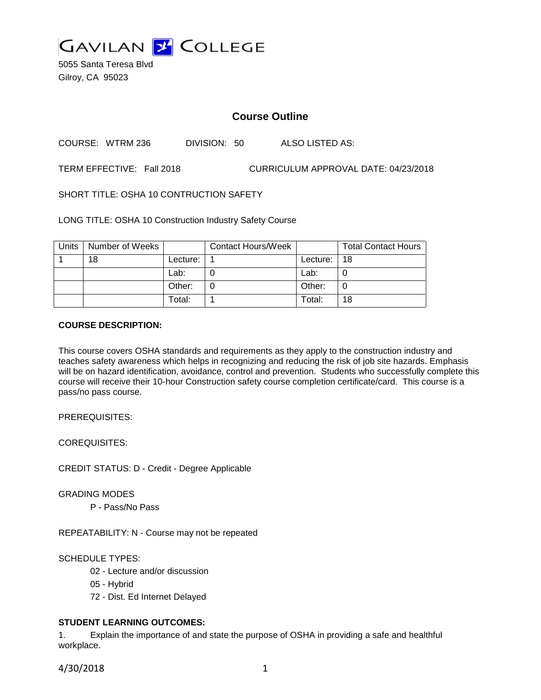

5055 Santa Teresa Blvd Gilroy, CA 95023

# **Course Outline**

COURSE: WTRM 236 DIVISION: 50 ALSO LISTED AS:

TERM EFFECTIVE: Fall 2018 CURRICULUM APPROVAL DATE: 04/23/2018

SHORT TITLE: OSHA 10 CONTRUCTION SAFETY

LONG TITLE: OSHA 10 Construction Industry Safety Course

| Units | Number of Weeks |            | <b>Contact Hours/Week</b> |          | <b>Total Contact Hours</b> |
|-------|-----------------|------------|---------------------------|----------|----------------------------|
|       | 18              | Lecture: . |                           | Lecture: | 18                         |
|       |                 | Lab:       |                           | Lab:     |                            |
|       |                 | Other:     |                           | Other:   | J                          |
|       |                 | Total:     |                           | Total:   | 18                         |

### **COURSE DESCRIPTION:**

This course covers OSHA standards and requirements as they apply to the construction industry and teaches safety awareness which helps in recognizing and reducing the risk of job site hazards. Emphasis will be on hazard identification, avoidance, control and prevention. Students who successfully complete this course will receive their 10-hour Construction safety course completion certificate/card. This course is a pass/no pass course.

PREREQUISITES:

COREQUISITES:

CREDIT STATUS: D - Credit - Degree Applicable

GRADING MODES

P - Pass/No Pass

REPEATABILITY: N - Course may not be repeated

SCHEDULE TYPES:

- 02 Lecture and/or discussion
- 05 Hybrid
- 72 Dist. Ed Internet Delayed

# **STUDENT LEARNING OUTCOMES:**

1. Explain the importance of and state the purpose of OSHA in providing a safe and healthful workplace.

4/30/2018 1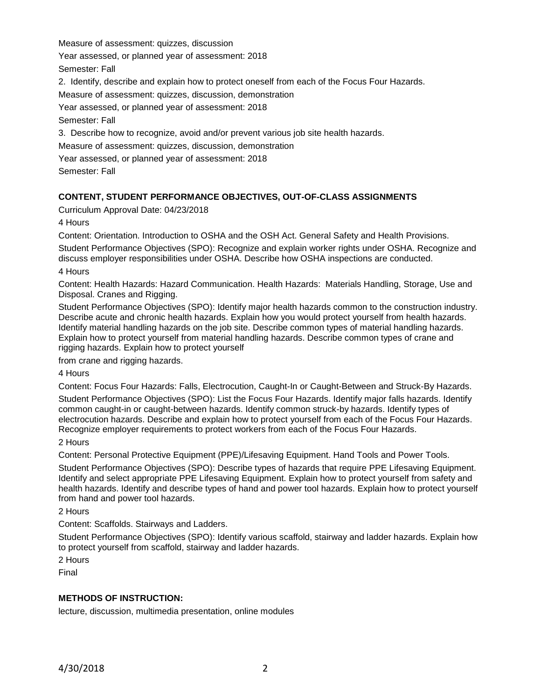Measure of assessment: quizzes, discussion

Year assessed, or planned year of assessment: 2018

Semester: Fall

2. Identify, describe and explain how to protect oneself from each of the Focus Four Hazards.

Measure of assessment: quizzes, discussion, demonstration

Year assessed, or planned year of assessment: 2018

Semester: Fall

3. Describe how to recognize, avoid and/or prevent various job site health hazards.

Measure of assessment: quizzes, discussion, demonstration

Year assessed, or planned year of assessment: 2018

Semester: Fall

# **CONTENT, STUDENT PERFORMANCE OBJECTIVES, OUT-OF-CLASS ASSIGNMENTS**

Curriculum Approval Date: 04/23/2018

4 Hours

Content: Orientation. Introduction to OSHA and the OSH Act. General Safety and Health Provisions. Student Performance Objectives (SPO): Recognize and explain worker rights under OSHA. Recognize and discuss employer responsibilities under OSHA. Describe how OSHA inspections are conducted.

4 Hours

Content: Health Hazards: Hazard Communication. Health Hazards: Materials Handling, Storage, Use and Disposal. Cranes and Rigging.

Student Performance Objectives (SPO): Identify major health hazards common to the construction industry. Describe acute and chronic health hazards. Explain how you would protect yourself from health hazards. Identify material handling hazards on the job site. Describe common types of material handling hazards. Explain how to protect yourself from material handling hazards. Describe common types of crane and rigging hazards. Explain how to protect yourself

from crane and rigging hazards.

4 Hours

Content: Focus Four Hazards: Falls, Electrocution, Caught-In or Caught-Between and Struck-By Hazards.

Student Performance Objectives (SPO): List the Focus Four Hazards. Identify major falls hazards. Identify common caught-in or caught-between hazards. Identify common struck-by hazards. Identify types of electrocution hazards. Describe and explain how to protect yourself from each of the Focus Four Hazards. Recognize employer requirements to protect workers from each of the Focus Four Hazards.

2 Hours

Content: Personal Protective Equipment (PPE)/Lifesaving Equipment. Hand Tools and Power Tools.

Student Performance Objectives (SPO): Describe types of hazards that require PPE Lifesaving Equipment. Identify and select appropriate PPE Lifesaving Equipment. Explain how to protect yourself from safety and health hazards. Identify and describe types of hand and power tool hazards. Explain how to protect yourself from hand and power tool hazards.

2 Hours

Content: Scaffolds. Stairways and Ladders.

Student Performance Objectives (SPO): Identify various scaffold, stairway and ladder hazards. Explain how to protect yourself from scaffold, stairway and ladder hazards.

2 Hours

Final

## **METHODS OF INSTRUCTION:**

lecture, discussion, multimedia presentation, online modules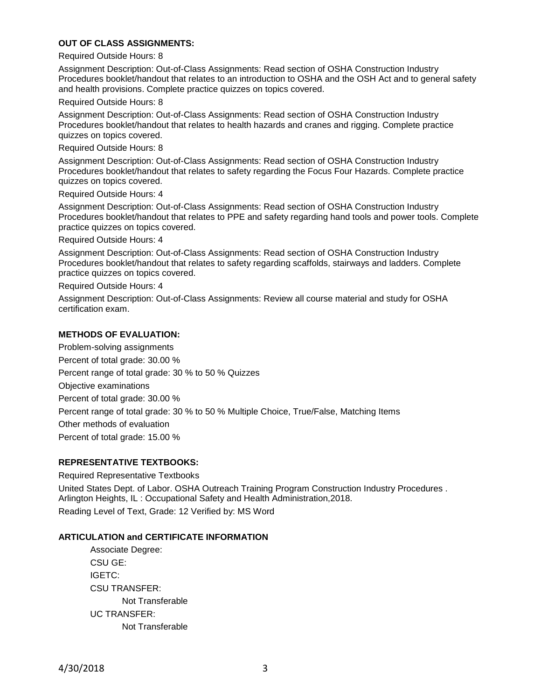## **OUT OF CLASS ASSIGNMENTS:**

#### Required Outside Hours: 8

Assignment Description: Out-of-Class Assignments: Read section of OSHA Construction Industry Procedures booklet/handout that relates to an introduction to OSHA and the OSH Act and to general safety and health provisions. Complete practice quizzes on topics covered.

#### Required Outside Hours: 8

Assignment Description: Out-of-Class Assignments: Read section of OSHA Construction Industry Procedures booklet/handout that relates to health hazards and cranes and rigging. Complete practice quizzes on topics covered.

#### Required Outside Hours: 8

Assignment Description: Out-of-Class Assignments: Read section of OSHA Construction Industry Procedures booklet/handout that relates to safety regarding the Focus Four Hazards. Complete practice quizzes on topics covered.

#### Required Outside Hours: 4

Assignment Description: Out-of-Class Assignments: Read section of OSHA Construction Industry Procedures booklet/handout that relates to PPE and safety regarding hand tools and power tools. Complete practice quizzes on topics covered.

Required Outside Hours: 4

Assignment Description: Out-of-Class Assignments: Read section of OSHA Construction Industry Procedures booklet/handout that relates to safety regarding scaffolds, stairways and ladders. Complete practice quizzes on topics covered.

Required Outside Hours: 4

Assignment Description: Out-of-Class Assignments: Review all course material and study for OSHA certification exam.

### **METHODS OF EVALUATION:**

Problem-solving assignments Percent of total grade: 30.00 % Percent range of total grade: 30 % to 50 % Quizzes Objective examinations Percent of total grade: 30.00 % Percent range of total grade: 30 % to 50 % Multiple Choice, True/False, Matching Items Other methods of evaluation Percent of total grade: 15.00 %

## **REPRESENTATIVE TEXTBOOKS:**

Required Representative Textbooks United States Dept. of Labor. OSHA Outreach Training Program Construction Industry Procedures . Arlington Heights, IL : Occupational Safety and Health Administration,2018. Reading Level of Text, Grade: 12 Verified by: MS Word

### **ARTICULATION and CERTIFICATE INFORMATION**

Associate Degree: CSU GE: IGETC: CSU TRANSFER: Not Transferable UC TRANSFER: Not Transferable